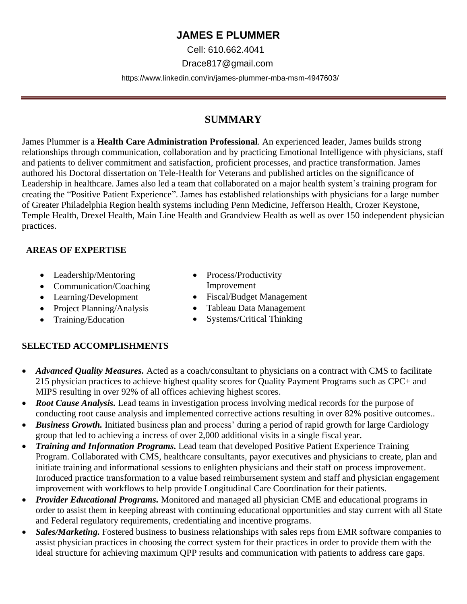# **JAMES E PLUMMER**

Cell: 610.662.4041

Drace817@gmail.com

https://www.linkedin.com/in/james-plummer-mba-msm-4947603/

# **SUMMARY**

James Plummer is a **Health Care Administration Professional**. An experienced leader, James builds strong relationships through communication, collaboration and by practicing Emotional Intelligence with physicians, staff and patients to deliver commitment and satisfaction, proficient processes, and practice transformation. James authored his Doctoral dissertation on Tele-Health for Veterans and published articles on the significance of Leadership in healthcare. James also led a team that collaborated on a major health system's training program for creating the "Positive Patient Experience". James has established relationships with physicians for a large number of Greater Philadelphia Region health systems including Penn Medicine, Jefferson Health, Crozer Keystone, Temple Health, Drexel Health, Main Line Health and Grandview Health as well as over 150 independent physician practices.

### **AREAS OF EXPERTISE**

- Leadership/Mentoring
- Communication/Coaching
- Learning/Development
- Project Planning/Analysis
- Training/Education
- Process/Productivity Improvement
- Fiscal/Budget Management
- Tableau Data Management
- Systems/Critical Thinking

## **SELECTED ACCOMPLISHMENTS**

- *Advanced Quality Measures.* Acted as a coach/consultant to physicians on a contract with CMS to facilitate 215 physician practices to achieve highest quality scores for Quality Payment Programs such as CPC+ and MIPS resulting in over 92% of all offices achieving highest scores.
- *Root Cause Analysis.* Lead teams in investigation process involving medical records for the purpose of conducting root cause analysis and implemented corrective actions resulting in over 82% positive outcomes..
- *Business Growth*. Initiated business plan and process' during a period of rapid growth for large Cardiology group that led to achieving a incress of over 2,000 additional visits in a single fiscal year.
- *Training and Information Programs.* Lead team that developed Positive Patient Experience Training Program. Collaborated with CMS, healthcare consultants, payor executives and physicians to create, plan and initiate training and informational sessions to enlighten physicians and their staff on process improvement. Inroduced practice transformation to a value based reimbursement system and staff and physician engagement improvement with workflows to help provide Longitudinal Care Coordination for their patients.
- *Provider Educational Programs.* Monitored and managed all physician CME and educational programs in order to assist them in keeping abreast with continuing educational opportunities and stay current with all State and Federal regulatory requirements, credentialing and incentive programs.
- *Sales/Marketing*. Fostered business to business relationships with sales reps from EMR software companies to assist physician practices in choosing the correct system for their practices in order to provide them with the ideal structure for achieving maximum QPP results and communication with patients to address care gaps.